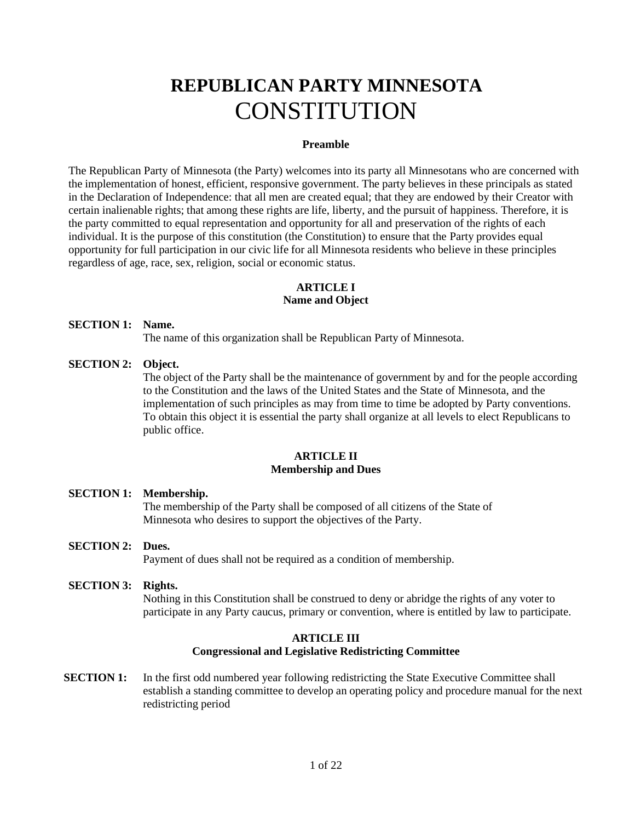# **REPUBLICAN PARTY MINNESOTA CONSTITUTION**

#### **Preamble**

The Republican Party of Minnesota (the Party) welcomes into its party all Minnesotans who are concerned with the implementation of honest, efficient, responsive government. The party believes in these principals as stated in the Declaration of Independence: that all men are created equal; that they are endowed by their Creator with certain inalienable rights; that among these rights are life, liberty, and the pursuit of happiness. Therefore, it is the party committed to equal representation and opportunity for all and preservation of the rights of each individual. It is the purpose of this constitution (the Constitution) to ensure that the Party provides equal opportunity for full participation in our civic life for all Minnesota residents who believe in these principles regardless of age, race, sex, religion, social or economic status.

## **ARTICLE I**

## **Name and Object**

## **SECTION 1: Name.**

The name of this organization shall be Republican Party of Minnesota.

## **SECTION 2: Object.**

The object of the Party shall be the maintenance of government by and for the people according to the Constitution and the laws of the United States and the State of Minnesota, and the implementation of such principles as may from time to time be adopted by Party conventions. To obtain this object it is essential the party shall organize at all levels to elect Republicans to public office.

## **ARTICLE II Membership and Dues**

## **SECTION 1: Membership.**

The membership of the Party shall be composed of all citizens of the State of Minnesota who desires to support the objectives of the Party.

## **SECTION 2: Dues.**

Payment of dues shall not be required as a condition of membership.

## **SECTION 3: Rights.**

Nothing in this Constitution shall be construed to deny or abridge the rights of any voter to participate in any Party caucus, primary or convention, where is entitled by law to participate.

## **ARTICLE III Congressional and Legislative Redistricting Committee**

**SECTION 1:** In the first odd numbered year following redistricting the State Executive Committee shall establish a standing committee to develop an operating policy and procedure manual for the next redistricting period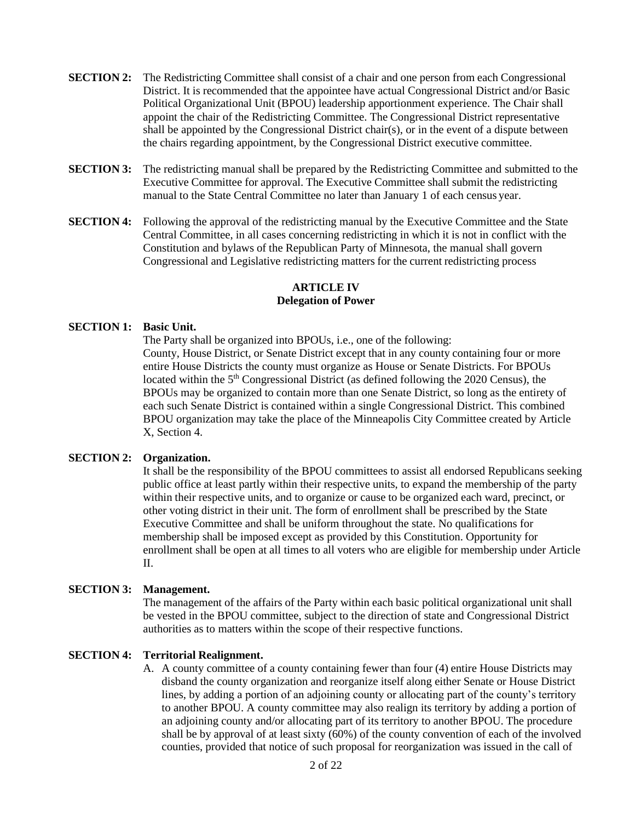- **SECTION 2:** The Redistricting Committee shall consist of a chair and one person from each Congressional District. It is recommended that the appointee have actual Congressional District and/or Basic Political Organizational Unit (BPOU) leadership apportionment experience. The Chair shall appoint the chair of the Redistricting Committee. The Congressional District representative shall be appointed by the Congressional District chair(s), or in the event of a dispute between the chairs regarding appointment, by the Congressional District executive committee.
- **SECTION 3:** The redistricting manual shall be prepared by the Redistricting Committee and submitted to the Executive Committee for approval. The Executive Committee shall submit the redistricting manual to the State Central Committee no later than January 1 of each census year.
- **SECTION 4:** Following the approval of the redistricting manual by the Executive Committee and the State Central Committee, in all cases concerning redistricting in which it is not in conflict with the Constitution and bylaws of the Republican Party of Minnesota, the manual shall govern Congressional and Legislative redistricting matters for the current redistricting process

## **ARTICLE IV Delegation of Power**

## **SECTION 1: Basic Unit.**

The Party shall be organized into BPOUs, i.e., one of the following: County, House District, or Senate District except that in any county containing four or more entire House Districts the county must organize as House or Senate Districts. For BPOUs located within the 5<sup>th</sup> Congressional District (as defined following the 2020 Census), the BPOUs may be organized to contain more than one Senate District, so long as the entirety of each such Senate District is contained within a single Congressional District. This combined BPOU organization may take the place of the Minneapolis City Committee created by Article X, Section 4.

## **SECTION 2: Organization.**

It shall be the responsibility of the BPOU committees to assist all endorsed Republicans seeking public office at least partly within their respective units, to expand the membership of the party within their respective units, and to organize or cause to be organized each ward, precinct, or other voting district in their unit. The form of enrollment shall be prescribed by the State Executive Committee and shall be uniform throughout the state. No qualifications for membership shall be imposed except as provided by this Constitution. Opportunity for enrollment shall be open at all times to all voters who are eligible for membership under Article  $II$ .

## **SECTION 3: Management.**

The management of the affairs of the Party within each basic political organizational unit shall be vested in the BPOU committee, subject to the direction of state and Congressional District authorities as to matters within the scope of their respective functions.

## **SECTION 4: Territorial Realignment.**

A. A county committee of a county containing fewer than four (4) entire House Districts may disband the county organization and reorganize itself along either Senate or House District lines, by adding a portion of an adjoining county or allocating part of the county's territory to another BPOU. A county committee may also realign its territory by adding a portion of an adjoining county and/or allocating part of its territory to another BPOU. The procedure shall be by approval of at least sixty (60%) of the county convention of each of the involved counties, provided that notice of such proposal for reorganization was issued in the call of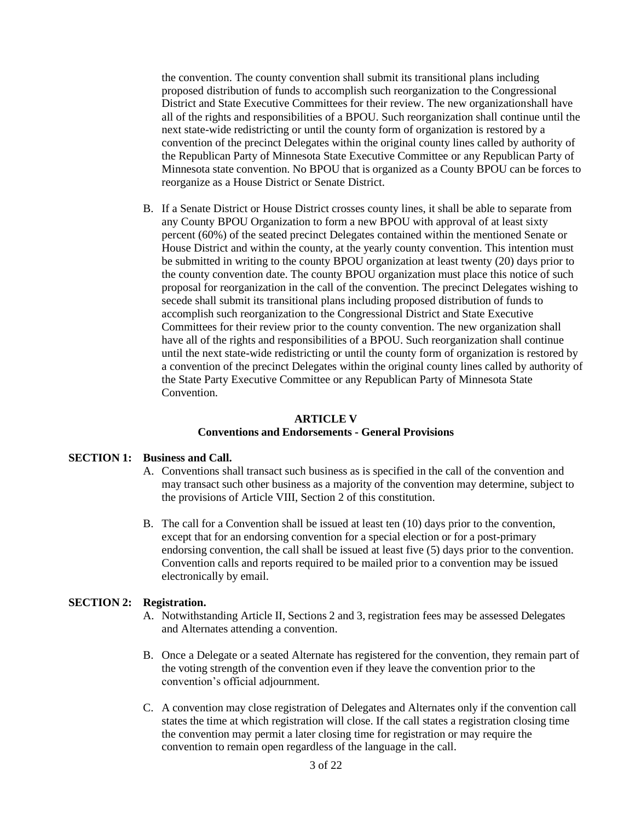the convention. The county convention shall submit its transitional plans including proposed distribution of funds to accomplish such reorganization to the Congressional District and State Executive Committees for their review. The new organizationshall have all of the rights and responsibilities of a BPOU. Such reorganization shall continue until the next state-wide redistricting or until the county form of organization is restored by a convention of the precinct Delegates within the original county lines called by authority of the Republican Party of Minnesota State Executive Committee or any Republican Party of Minnesota state convention. No BPOU that is organized as a County BPOU can be forces to reorganize as a House District or Senate District.

B. If a Senate District or House District crosses county lines, it shall be able to separate from any County BPOU Organization to form a new BPOU with approval of at least sixty percent (60%) of the seated precinct Delegates contained within the mentioned Senate or House District and within the county, at the yearly county convention. This intention must be submitted in writing to the county BPOU organization at least twenty (20) days prior to the county convention date. The county BPOU organization must place this notice of such proposal for reorganization in the call of the convention. The precinct Delegates wishing to secede shall submit its transitional plans including proposed distribution of funds to accomplish such reorganization to the Congressional District and State Executive Committees for their review prior to the county convention. The new organization shall have all of the rights and responsibilities of a BPOU. Such reorganization shall continue until the next state-wide redistricting or until the county form of organization is restored by a convention of the precinct Delegates within the original county lines called by authority of the State Party Executive Committee or any Republican Party of Minnesota State Convention.

## **ARTICLE V Conventions and Endorsements - General Provisions**

## **SECTION 1: Business and Call.**

- A. Conventions shall transact such business as is specified in the call of the convention and may transact such other business as a majority of the convention may determine, subject to the provisions of Article VIII, Section 2 of this constitution.
- B. The call for a Convention shall be issued at least ten (10) days prior to the convention, except that for an endorsing convention for a special election or for a post-primary endorsing convention, the call shall be issued at least five (5) days prior to the convention. Convention calls and reports required to be mailed prior to a convention may be issued electronically by email.

## **SECTION 2: Registration.**

- A. Notwithstanding Article II, Sections 2 and 3, registration fees may be assessed Delegates and Alternates attending a convention.
- B. Once a Delegate or a seated Alternate has registered for the convention, they remain part of the voting strength of the convention even if they leave the convention prior to the convention's official adjournment.
- C. A convention may close registration of Delegates and Alternates only if the convention call states the time at which registration will close. If the call states a registration closing time the convention may permit a later closing time for registration or may require the convention to remain open regardless of the language in the call.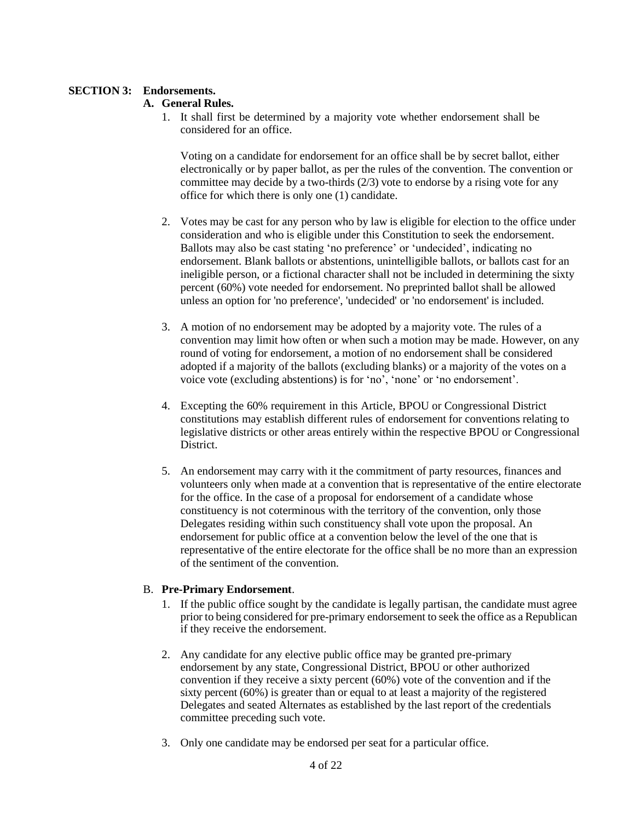## **SECTION 3: Endorsements.**

## **A. General Rules.**

1. It shall first be determined by a majority vote whether endorsement shall be considered for an office.

Voting on a candidate for endorsement for an office shall be by secret ballot, either electronically or by paper ballot, as per the rules of the convention. The convention or committee may decide by a two-thirds (2/3) vote to endorse by a rising vote for any office for which there is only one (1) candidate.

- 2. Votes may be cast for any person who by law is eligible for election to the office under consideration and who is eligible under this Constitution to seek the endorsement. Ballots may also be cast stating 'no preference' or 'undecided', indicating no endorsement. Blank ballots or abstentions, unintelligible ballots, or ballots cast for an ineligible person, or a fictional character shall not be included in determining the sixty percent (60%) vote needed for endorsement. No preprinted ballot shall be allowed unless an option for 'no preference', 'undecided' or 'no endorsement' is included.
- 3. A motion of no endorsement may be adopted by a majority vote. The rules of a convention may limit how often or when such a motion may be made. However, on any round of voting for endorsement, a motion of no endorsement shall be considered adopted if a majority of the ballots (excluding blanks) or a majority of the votes on a voice vote (excluding abstentions) is for 'no', 'none' or 'no endorsement'.
- 4. Excepting the 60% requirement in this Article, BPOU or Congressional District constitutions may establish different rules of endorsement for conventions relating to legislative districts or other areas entirely within the respective BPOU or Congressional District.
- 5. An endorsement may carry with it the commitment of party resources, finances and volunteers only when made at a convention that is representative of the entire electorate for the office. In the case of a proposal for endorsement of a candidate whose constituency is not coterminous with the territory of the convention, only those Delegates residing within such constituency shall vote upon the proposal. An endorsement for public office at a convention below the level of the one that is representative of the entire electorate for the office shall be no more than an expression of the sentiment of the convention.

## B. **Pre-Primary Endorsement**.

- 1. If the public office sought by the candidate is legally partisan, the candidate must agree prior to being considered for pre-primary endorsement to seek the office as a Republican if they receive the endorsement.
- 2. Any candidate for any elective public office may be granted pre-primary endorsement by any state, Congressional District, BPOU or other authorized convention if they receive a sixty percent (60%) vote of the convention and if the sixty percent (60%) is greater than or equal to at least a majority of the registered Delegates and seated Alternates as established by the last report of the credentials committee preceding such vote.
- 3. Only one candidate may be endorsed per seat for a particular office.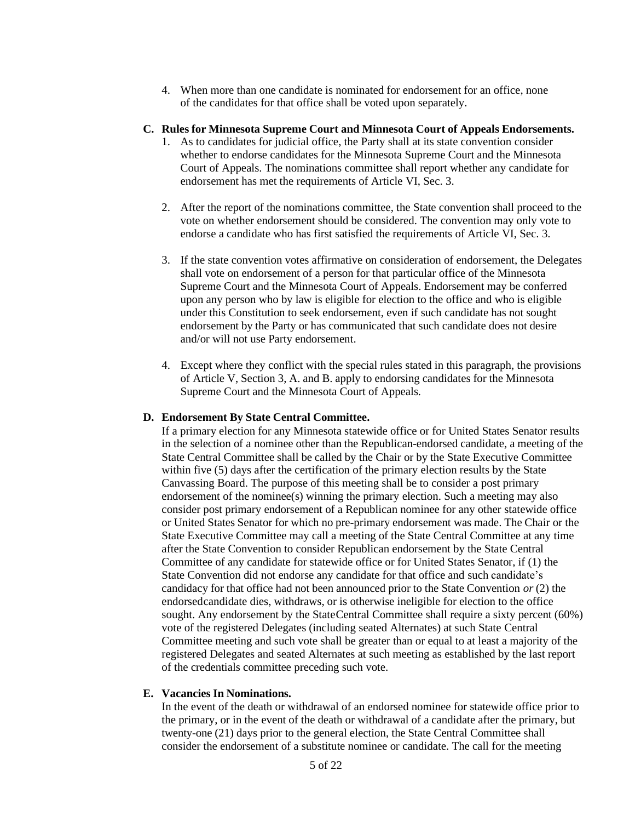4. When more than one candidate is nominated for endorsement for an office, none of the candidates for that office shall be voted upon separately.

#### **C. Rules for Minnesota Supreme Court and Minnesota Court of Appeals Endorsements.**

- 1. As to candidates for judicial office, the Party shall at its state convention consider whether to endorse candidates for the Minnesota Supreme Court and the Minnesota Court of Appeals. The nominations committee shall report whether any candidate for endorsement has met the requirements of Article VI, Sec. 3.
- 2. After the report of the nominations committee, the State convention shall proceed to the vote on whether endorsement should be considered. The convention may only vote to endorse a candidate who has first satisfied the requirements of Article VI, Sec. 3.
- 3. If the state convention votes affirmative on consideration of endorsement, the Delegates shall vote on endorsement of a person for that particular office of the Minnesota Supreme Court and the Minnesota Court of Appeals. Endorsement may be conferred upon any person who by law is eligible for election to the office and who is eligible under this Constitution to seek endorsement, even if such candidate has not sought endorsement by the Party or has communicated that such candidate does not desire and/or will not use Party endorsement.
- 4. Except where they conflict with the special rules stated in this paragraph, the provisions of Article V, Section 3, A. and B. apply to endorsing candidates for the Minnesota Supreme Court and the Minnesota Court of Appeals.

#### **D. Endorsement By State Central Committee.**

If a primary election for any Minnesota statewide office or for United States Senator results in the selection of a nominee other than the Republican-endorsed candidate, a meeting of the State Central Committee shall be called by the Chair or by the State Executive Committee within five (5) days after the certification of the primary election results by the State Canvassing Board. The purpose of this meeting shall be to consider a post primary endorsement of the nominee(s) winning the primary election. Such a meeting may also consider post primary endorsement of a Republican nominee for any other statewide office or United States Senator for which no pre-primary endorsement was made. The Chair or the State Executive Committee may call a meeting of the State Central Committee at any time after the State Convention to consider Republican endorsement by the State Central Committee of any candidate for statewide office or for United States Senator, if (1) the State Convention did not endorse any candidate for that office and such candidate's candidacy for that office had not been announced prior to the State Convention *or* (2) the endorsedcandidate dies, withdraws, or is otherwise ineligible for election to the office sought. Any endorsement by the StateCentral Committee shall require a sixty percent (60%) vote of the registered Delegates (including seated Alternates) at such State Central Committee meeting and such vote shall be greater than or equal to at least a majority of the registered Delegates and seated Alternates at such meeting as established by the last report of the credentials committee preceding such vote.

#### **E. Vacancies In Nominations.**

In the event of the death or withdrawal of an endorsed nominee for statewide office prior to the primary, or in the event of the death or withdrawal of a candidate after the primary, but twenty-one (21) days prior to the general election, the State Central Committee shall consider the endorsement of a substitute nominee or candidate. The call for the meeting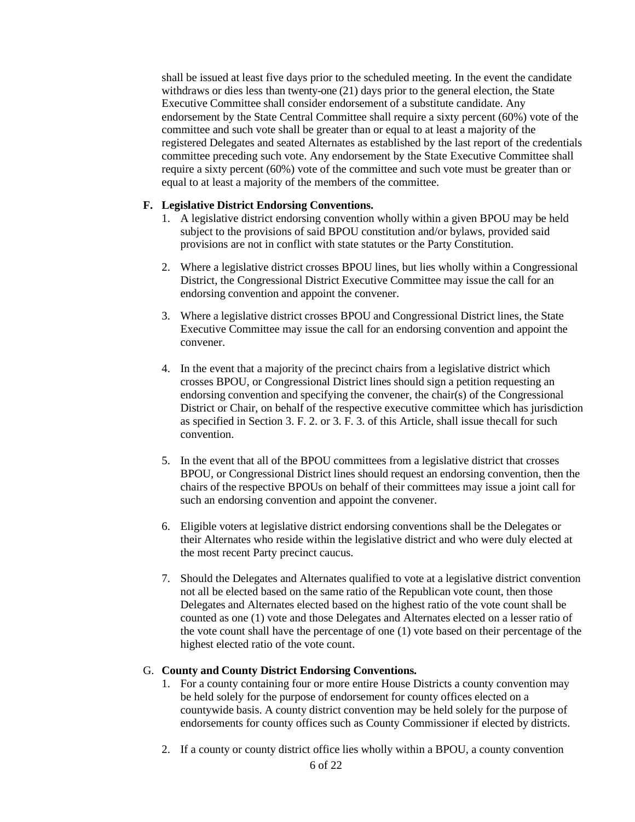shall be issued at least five days prior to the scheduled meeting. In the event the candidate withdraws or dies less than twenty-one (21) days prior to the general election, the State Executive Committee shall consider endorsement of a substitute candidate. Any endorsement by the State Central Committee shall require a sixty percent (60%) vote of the committee and such vote shall be greater than or equal to at least a majority of the registered Delegates and seated Alternates as established by the last report of the credentials committee preceding such vote. Any endorsement by the State Executive Committee shall require a sixty percent (60%) vote of the committee and such vote must be greater than or equal to at least a majority of the members of the committee.

#### **F. Legislative District Endorsing Conventions.**

- 1. A legislative district endorsing convention wholly within a given BPOU may be held subject to the provisions of said BPOU constitution and/or bylaws, provided said provisions are not in conflict with state statutes or the Party Constitution.
- 2. Where a legislative district crosses BPOU lines, but lies wholly within a Congressional District, the Congressional District Executive Committee may issue the call for an endorsing convention and appoint the convener.
- 3. Where a legislative district crosses BPOU and Congressional District lines, the State Executive Committee may issue the call for an endorsing convention and appoint the convener.
- 4. In the event that a majority of the precinct chairs from a legislative district which crosses BPOU, or Congressional District lines should sign a petition requesting an endorsing convention and specifying the convener, the chair(s) of the Congressional District or Chair, on behalf of the respective executive committee which has jurisdiction as specified in Section 3. F. 2. or 3. F. 3. of this Article, shall issue thecall for such convention.
- 5. In the event that all of the BPOU committees from a legislative district that crosses BPOU, or Congressional District lines should request an endorsing convention, then the chairs of the respective BPOUs on behalf of their committees may issue a joint call for such an endorsing convention and appoint the convener.
- 6. Eligible voters at legislative district endorsing conventions shall be the Delegates or their Alternates who reside within the legislative district and who were duly elected at the most recent Party precinct caucus.
- 7. Should the Delegates and Alternates qualified to vote at a legislative district convention not all be elected based on the same ratio of the Republican vote count, then those Delegates and Alternates elected based on the highest ratio of the vote count shall be counted as one (1) vote and those Delegates and Alternates elected on a lesser ratio of the vote count shall have the percentage of one (1) vote based on their percentage of the highest elected ratio of the vote count.

## G. **County and County District Endorsing Conventions.**

- 1. For a county containing four or more entire House Districts a county convention may be held solely for the purpose of endorsement for county offices elected on a countywide basis. A county district convention may be held solely for the purpose of endorsements for county offices such as County Commissioner if elected by districts.
- 2. If a county or county district office lies wholly within a BPOU, a county convention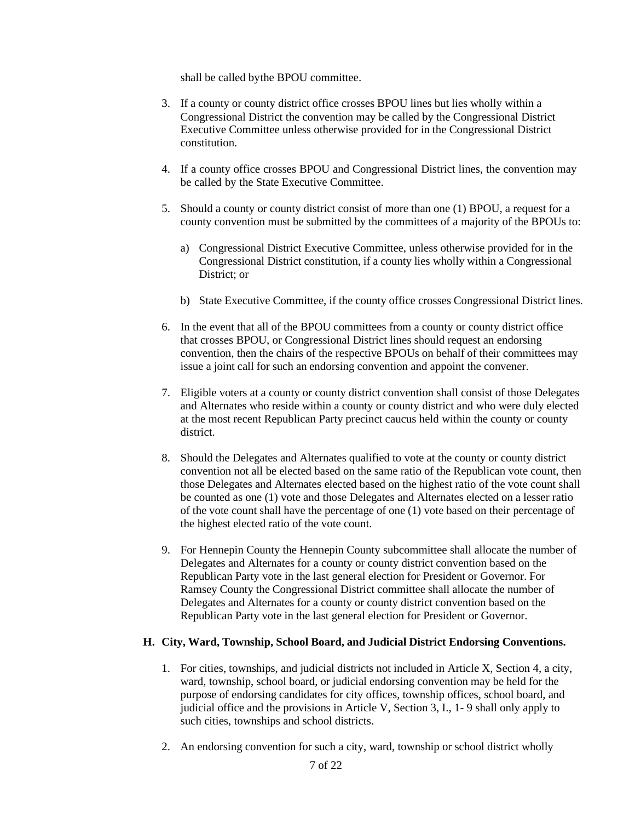shall be called bythe BPOU committee.

- 3. If a county or county district office crosses BPOU lines but lies wholly within a Congressional District the convention may be called by the Congressional District Executive Committee unless otherwise provided for in the Congressional District constitution.
- 4. If a county office crosses BPOU and Congressional District lines, the convention may be called by the State Executive Committee.
- 5. Should a county or county district consist of more than one (1) BPOU, a request for a county convention must be submitted by the committees of a majority of the BPOUs to:
	- a) Congressional District Executive Committee, unless otherwise provided for in the Congressional District constitution, if a county lies wholly within a Congressional District; or
	- b) State Executive Committee, if the county office crosses Congressional District lines.
- 6. In the event that all of the BPOU committees from a county or county district office that crosses BPOU, or Congressional District lines should request an endorsing convention, then the chairs of the respective BPOUs on behalf of their committees may issue a joint call for such an endorsing convention and appoint the convener.
- 7. Eligible voters at a county or county district convention shall consist of those Delegates and Alternates who reside within a county or county district and who were duly elected at the most recent Republican Party precinct caucus held within the county or county district.
- 8. Should the Delegates and Alternates qualified to vote at the county or county district convention not all be elected based on the same ratio of the Republican vote count, then those Delegates and Alternates elected based on the highest ratio of the vote count shall be counted as one (1) vote and those Delegates and Alternates elected on a lesser ratio of the vote count shall have the percentage of one (1) vote based on their percentage of the highest elected ratio of the vote count.
- 9. For Hennepin County the Hennepin County subcommittee shall allocate the number of Delegates and Alternates for a county or county district convention based on the Republican Party vote in the last general election for President or Governor. For Ramsey County the Congressional District committee shall allocate the number of Delegates and Alternates for a county or county district convention based on the Republican Party vote in the last general election for President or Governor.

## **H. City, Ward, Township, School Board, and Judicial District Endorsing Conventions.**

- 1. For cities, townships, and judicial districts not included in Article X, Section 4, a city, ward, township, school board, or judicial endorsing convention may be held for the purpose of endorsing candidates for city offices, township offices, school board, and judicial office and the provisions in Article V, Section 3, I., 1- 9 shall only apply to such cities, townships and school districts.
- 2. An endorsing convention for such a city, ward, township or school district wholly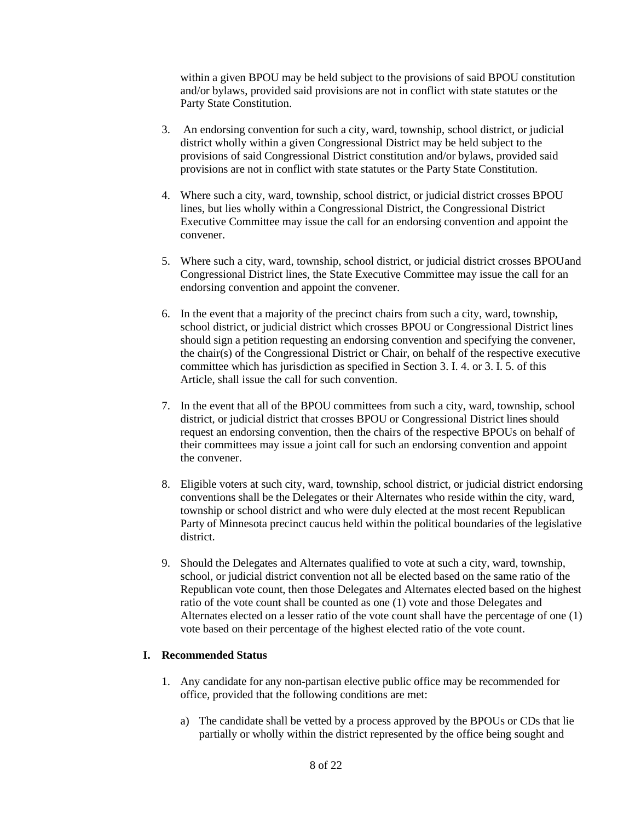within a given BPOU may be held subject to the provisions of said BPOU constitution and/or bylaws, provided said provisions are not in conflict with state statutes or the Party State Constitution.

- 3. An endorsing convention for such a city, ward, township, school district, or judicial district wholly within a given Congressional District may be held subject to the provisions of said Congressional District constitution and/or bylaws, provided said provisions are not in conflict with state statutes or the Party State Constitution.
- 4. Where such a city, ward, township, school district, or judicial district crosses BPOU lines, but lies wholly within a Congressional District, the Congressional District Executive Committee may issue the call for an endorsing convention and appoint the convener.
- 5. Where such a city, ward, township, school district, or judicial district crosses BPOUand Congressional District lines, the State Executive Committee may issue the call for an endorsing convention and appoint the convener.
- 6. In the event that a majority of the precinct chairs from such a city, ward, township, school district, or judicial district which crosses BPOU or Congressional District lines should sign a petition requesting an endorsing convention and specifying the convener, the chair(s) of the Congressional District or Chair, on behalf of the respective executive committee which has jurisdiction as specified in Section 3. I. 4. or 3. I. 5. of this Article, shall issue the call for such convention.
- 7. In the event that all of the BPOU committees from such a city, ward, township, school district, or judicial district that crosses BPOU or Congressional District lines should request an endorsing convention, then the chairs of the respective BPOUs on behalf of their committees may issue a joint call for such an endorsing convention and appoint the convener.
- 8. Eligible voters at such city, ward, township, school district, or judicial district endorsing conventions shall be the Delegates or their Alternates who reside within the city, ward, township or school district and who were duly elected at the most recent Republican Party of Minnesota precinct caucus held within the political boundaries of the legislative district.
- 9. Should the Delegates and Alternates qualified to vote at such a city, ward, township, school, or judicial district convention not all be elected based on the same ratio of the Republican vote count, then those Delegates and Alternates elected based on the highest ratio of the vote count shall be counted as one (1) vote and those Delegates and Alternates elected on a lesser ratio of the vote count shall have the percentage of one (1) vote based on their percentage of the highest elected ratio of the vote count.

## **I. Recommended Status**

- 1. Any candidate for any non-partisan elective public office may be recommended for office, provided that the following conditions are met:
	- a) The candidate shall be vetted by a process approved by the BPOUs or CDs that lie partially or wholly within the district represented by the office being sought and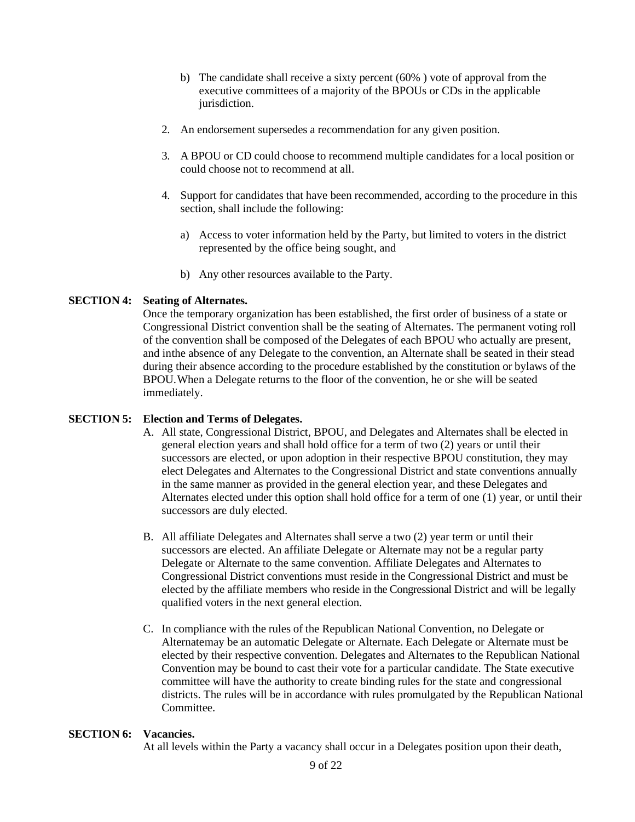- b) The candidate shall receive a sixty percent (60% ) vote of approval from the executive committees of a majority of the BPOUs or CDs in the applicable jurisdiction.
- 2. An endorsement supersedes a recommendation for any given position.
- 3. A BPOU or CD could choose to recommend multiple candidates for a local position or could choose not to recommend at all.
- 4. Support for candidates that have been recommended, according to the procedure in this section, shall include the following:
	- a) Access to voter information held by the Party, but limited to voters in the district represented by the office being sought, and
	- b) Any other resources available to the Party.

#### **SECTION 4: Seating of Alternates.**

Once the temporary organization has been established, the first order of business of a state or Congressional District convention shall be the seating of Alternates. The permanent voting roll of the convention shall be composed of the Delegates of each BPOU who actually are present, and inthe absence of any Delegate to the convention, an Alternate shall be seated in their stead during their absence according to the procedure established by the constitution or bylaws of the BPOU.When a Delegate returns to the floor of the convention, he or she will be seated immediately.

#### **SECTION 5: Election and Terms of Delegates.**

- A. All state, Congressional District, BPOU, and Delegates and Alternates shall be elected in general election years and shall hold office for a term of two (2) years or until their successors are elected, or upon adoption in their respective BPOU constitution, they may elect Delegates and Alternates to the Congressional District and state conventions annually in the same manner as provided in the general election year, and these Delegates and Alternates elected under this option shall hold office for a term of one (1) year, or until their successors are duly elected.
- B. All affiliate Delegates and Alternates shall serve a two (2) year term or until their successors are elected. An affiliate Delegate or Alternate may not be a regular party Delegate or Alternate to the same convention. Affiliate Delegates and Alternates to Congressional District conventions must reside in the Congressional District and must be elected by the affiliate members who reside in the Congressional District and will be legally qualified voters in the next general election.
- C. In compliance with the rules of the Republican National Convention, no Delegate or Alternatemay be an automatic Delegate or Alternate. Each Delegate or Alternate must be elected by their respective convention. Delegates and Alternates to the Republican National Convention may be bound to cast their vote for a particular candidate. The State executive committee will have the authority to create binding rules for the state and congressional districts. The rules will be in accordance with rules promulgated by the Republican National Committee.

#### **SECTION 6: Vacancies.**

At all levels within the Party a vacancy shall occur in a Delegates position upon their death,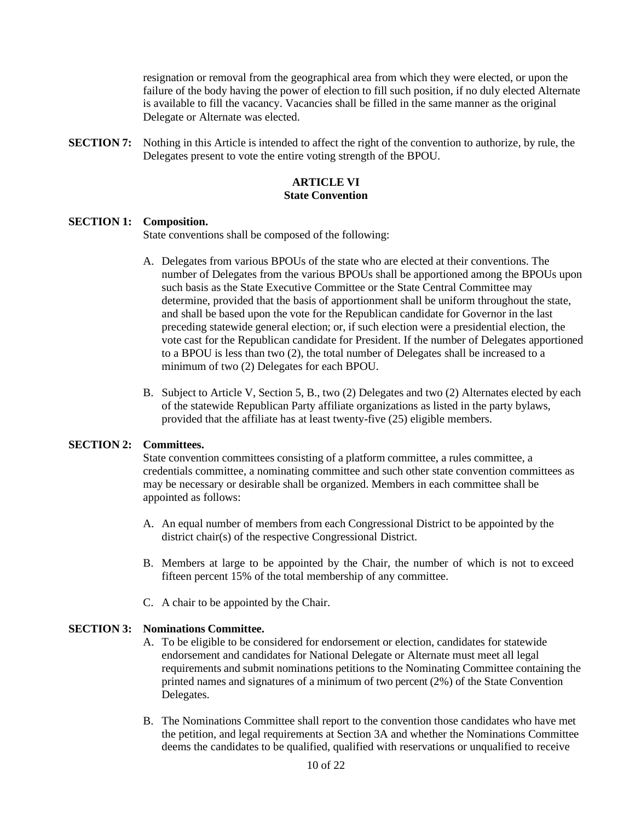resignation or removal from the geographical area from which they were elected, or upon the failure of the body having the power of election to fill such position, if no duly elected Alternate is available to fill the vacancy. Vacancies shall be filled in the same manner as the original Delegate or Alternate was elected.

**SECTION 7:** Nothing in this Article is intended to affect the right of the convention to authorize, by rule, the Delegates present to vote the entire voting strength of the BPOU.

## **ARTICLE VI State Convention**

#### **SECTION 1: Composition.**

State conventions shall be composed of the following:

- A. Delegates from various BPOUs of the state who are elected at their conventions. The number of Delegates from the various BPOUs shall be apportioned among the BPOUs upon such basis as the State Executive Committee or the State Central Committee may determine, provided that the basis of apportionment shall be uniform throughout the state, and shall be based upon the vote for the Republican candidate for Governor in the last preceding statewide general election; or, if such election were a presidential election, the vote cast for the Republican candidate for President. If the number of Delegates apportioned to a BPOU is less than two (2), the total number of Delegates shall be increased to a minimum of two (2) Delegates for each BPOU.
- B. Subject to Article V, Section 5, B., two (2) Delegates and two (2) Alternates elected by each of the statewide Republican Party affiliate organizations as listed in the party bylaws, provided that the affiliate has at least twenty-five (25) eligible members.

## **SECTION 2: Committees.**

State convention committees consisting of a platform committee, a rules committee, a credentials committee, a nominating committee and such other state convention committees as may be necessary or desirable shall be organized. Members in each committee shall be appointed as follows:

- A. An equal number of members from each Congressional District to be appointed by the district chair(s) of the respective Congressional District.
- B. Members at large to be appointed by the Chair, the number of which is not to exceed fifteen percent 15% of the total membership of any committee.
- C. A chair to be appointed by the Chair.

## **SECTION 3: Nominations Committee.**

- A. To be eligible to be considered for endorsement or election, candidates for statewide endorsement and candidates for National Delegate or Alternate must meet all legal requirements and submit nominations petitions to the Nominating Committee containing the printed names and signatures of a minimum of two percent (2%) of the State Convention Delegates.
- B. The Nominations Committee shall report to the convention those candidates who have met the petition, and legal requirements at Section 3A and whether the Nominations Committee deems the candidates to be qualified, qualified with reservations or unqualified to receive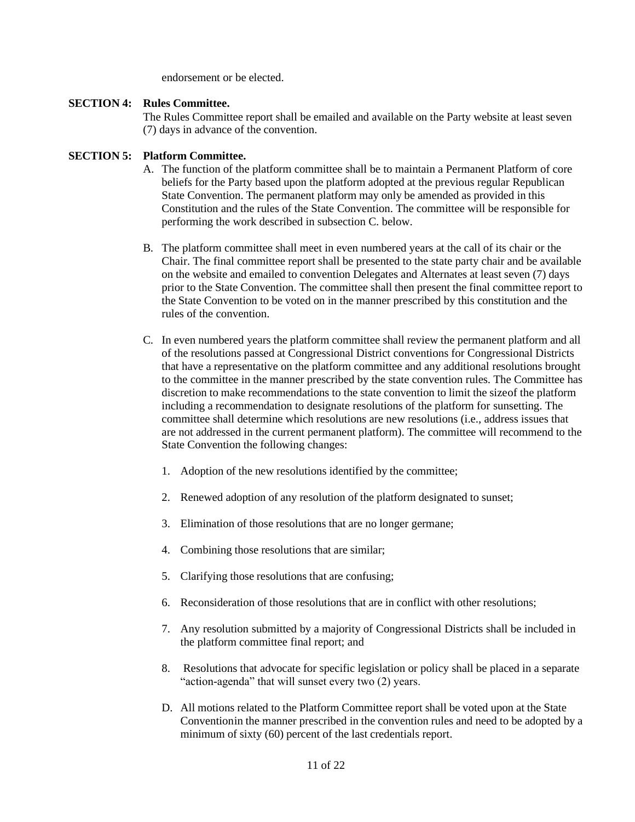endorsement or be elected.

#### **SECTION 4: Rules Committee.**

The Rules Committee report shall be emailed and available on the Party website at least seven (7) days in advance of the convention.

## **SECTION 5: Platform Committee.**

- A. The function of the platform committee shall be to maintain a Permanent Platform of core beliefs for the Party based upon the platform adopted at the previous regular Republican State Convention. The permanent platform may only be amended as provided in this Constitution and the rules of the State Convention. The committee will be responsible for performing the work described in subsection C. below.
- B. The platform committee shall meet in even numbered years at the call of its chair or the Chair. The final committee report shall be presented to the state party chair and be available on the website and emailed to convention Delegates and Alternates at least seven (7) days prior to the State Convention. The committee shall then present the final committee report to the State Convention to be voted on in the manner prescribed by this constitution and the rules of the convention.
- C. In even numbered years the platform committee shall review the permanent platform and all of the resolutions passed at Congressional District conventions for Congressional Districts that have a representative on the platform committee and any additional resolutions brought to the committee in the manner prescribed by the state convention rules. The Committee has discretion to make recommendations to the state convention to limit the sizeof the platform including a recommendation to designate resolutions of the platform for sunsetting. The committee shall determine which resolutions are new resolutions (i.e., address issues that are not addressed in the current permanent platform). The committee will recommend to the State Convention the following changes:
	- 1. Adoption of the new resolutions identified by the committee;
	- 2. Renewed adoption of any resolution of the platform designated to sunset;
	- 3. Elimination of those resolutions that are no longer germane;
	- 4. Combining those resolutions that are similar;
	- 5. Clarifying those resolutions that are confusing;
	- 6. Reconsideration of those resolutions that are in conflict with other resolutions;
	- 7. Any resolution submitted by a majority of Congressional Districts shall be included in the platform committee final report; and
	- 8. Resolutions that advocate for specific legislation or policy shall be placed in a separate "action-agenda" that will sunset every two (2) years.
	- D. All motions related to the Platform Committee report shall be voted upon at the State Conventionin the manner prescribed in the convention rules and need to be adopted by a minimum of sixty (60) percent of the last credentials report.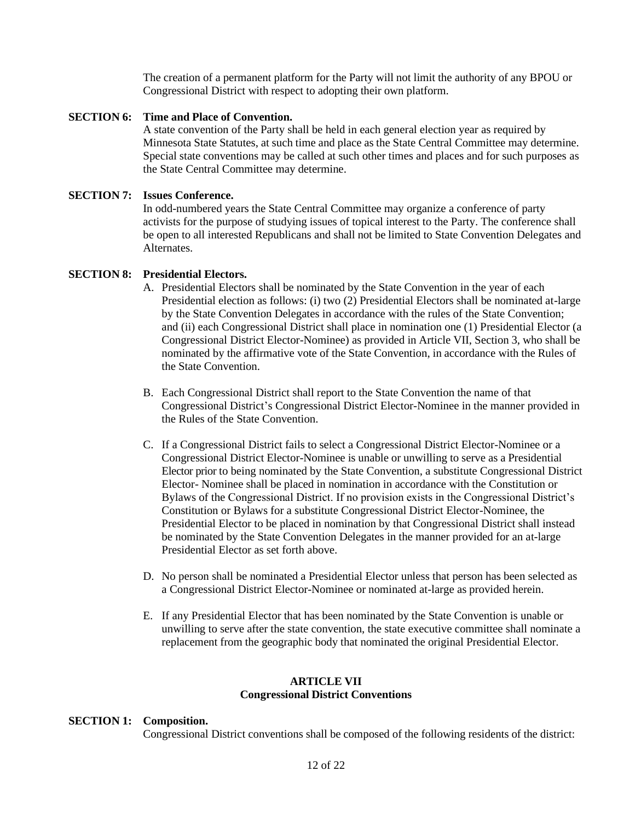The creation of a permanent platform for the Party will not limit the authority of any BPOU or Congressional District with respect to adopting their own platform.

## **SECTION 6: Time and Place of Convention.**

A state convention of the Party shall be held in each general election year as required by Minnesota State Statutes, at such time and place as the State Central Committee may determine. Special state conventions may be called at such other times and places and for such purposes as the State Central Committee may determine.

## **SECTION 7: Issues Conference.**

In odd-numbered years the State Central Committee may organize a conference of party activists for the purpose of studying issues of topical interest to the Party. The conference shall be open to all interested Republicans and shall not be limited to State Convention Delegates and Alternates.

## **SECTION 8: Presidential Electors.**

- A. Presidential Electors shall be nominated by the State Convention in the year of each Presidential election as follows: (i) two (2) Presidential Electors shall be nominated at-large by the State Convention Delegates in accordance with the rules of the State Convention; and (ii) each Congressional District shall place in nomination one (1) Presidential Elector (a Congressional District Elector-Nominee) as provided in Article VII, Section 3, who shall be nominated by the affirmative vote of the State Convention, in accordance with the Rules of the State Convention.
- B. Each Congressional District shall report to the State Convention the name of that Congressional District's Congressional District Elector-Nominee in the manner provided in the Rules of the State Convention.
- C. If a Congressional District fails to select a Congressional District Elector-Nominee or a Congressional District Elector-Nominee is unable or unwilling to serve as a Presidential Elector prior to being nominated by the State Convention, a substitute Congressional District Elector- Nominee shall be placed in nomination in accordance with the Constitution or Bylaws of the Congressional District. If no provision exists in the Congressional District's Constitution or Bylaws for a substitute Congressional District Elector-Nominee, the Presidential Elector to be placed in nomination by that Congressional District shall instead be nominated by the State Convention Delegates in the manner provided for an at-large Presidential Elector as set forth above.
- D. No person shall be nominated a Presidential Elector unless that person has been selected as a Congressional District Elector-Nominee or nominated at-large as provided herein.
- E. If any Presidential Elector that has been nominated by the State Convention is unable or unwilling to serve after the state convention, the state executive committee shall nominate a replacement from the geographic body that nominated the original Presidential Elector.

## **ARTICLE VII Congressional District Conventions**

#### **SECTION 1: Composition.**

Congressional District conventions shall be composed of the following residents of the district: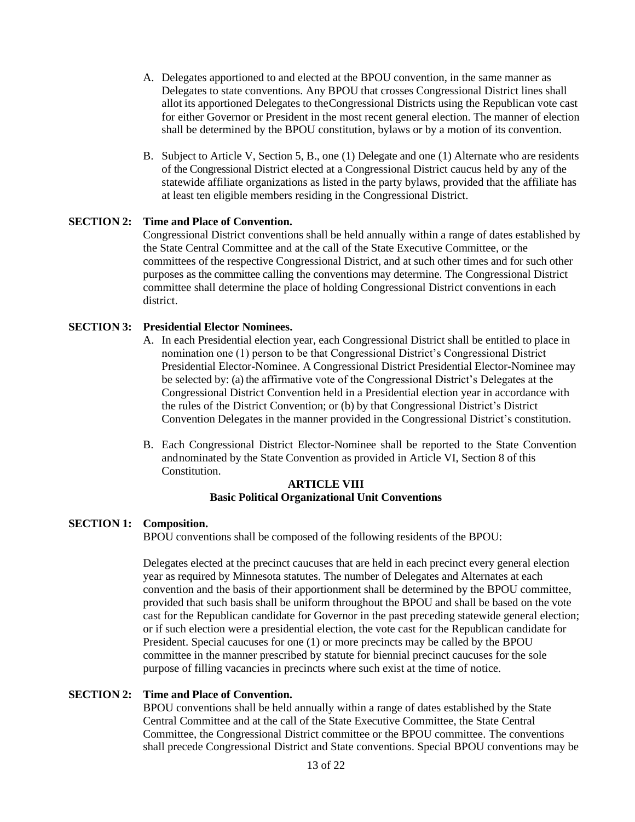- A. Delegates apportioned to and elected at the BPOU convention, in the same manner as Delegates to state conventions. Any BPOU that crosses Congressional District lines shall allot its apportioned Delegates to theCongressional Districts using the Republican vote cast for either Governor or President in the most recent general election. The manner of election shall be determined by the BPOU constitution, bylaws or by a motion of its convention.
- B. Subject to Article V, Section 5, B., one (1) Delegate and one (1) Alternate who are residents of the Congressional District elected at a Congressional District caucus held by any of the statewide affiliate organizations as listed in the party bylaws, provided that the affiliate has at least ten eligible members residing in the Congressional District.

#### **SECTION 2: Time and Place of Convention.**

Congressional District conventions shall be held annually within a range of dates established by the State Central Committee and at the call of the State Executive Committee, or the committees of the respective Congressional District, and at such other times and for such other purposes as the committee calling the conventions may determine. The Congressional District committee shall determine the place of holding Congressional District conventions in each district.

#### **SECTION 3: Presidential Elector Nominees.**

- A. In each Presidential election year, each Congressional District shall be entitled to place in nomination one (1) person to be that Congressional District's Congressional District Presidential Elector-Nominee. A Congressional District Presidential Elector-Nominee may be selected by: (a) the affirmative vote of the Congressional District's Delegates at the Congressional District Convention held in a Presidential election year in accordance with the rules of the District Convention; or (b) by that Congressional District's District Convention Delegates in the manner provided in the Congressional District's constitution.
- B. Each Congressional District Elector-Nominee shall be reported to the State Convention andnominated by the State Convention as provided in Article VI, Section 8 of this Constitution.

## **ARTICLE VIII Basic Political Organizational Unit Conventions**

#### **SECTION 1: Composition.**

BPOU conventions shall be composed of the following residents of the BPOU:

Delegates elected at the precinct caucuses that are held in each precinct every general election year as required by Minnesota statutes. The number of Delegates and Alternates at each convention and the basis of their apportionment shall be determined by the BPOU committee, provided that such basis shall be uniform throughout the BPOU and shall be based on the vote cast for the Republican candidate for Governor in the past preceding statewide general election; or if such election were a presidential election, the vote cast for the Republican candidate for President. Special caucuses for one (1) or more precincts may be called by the BPOU committee in the manner prescribed by statute for biennial precinct caucuses for the sole purpose of filling vacancies in precincts where such exist at the time of notice.

## **SECTION 2: Time and Place of Convention.**

BPOU conventions shall be held annually within a range of dates established by the State Central Committee and at the call of the State Executive Committee, the State Central Committee, the Congressional District committee or the BPOU committee. The conventions shall precede Congressional District and State conventions. Special BPOU conventions may be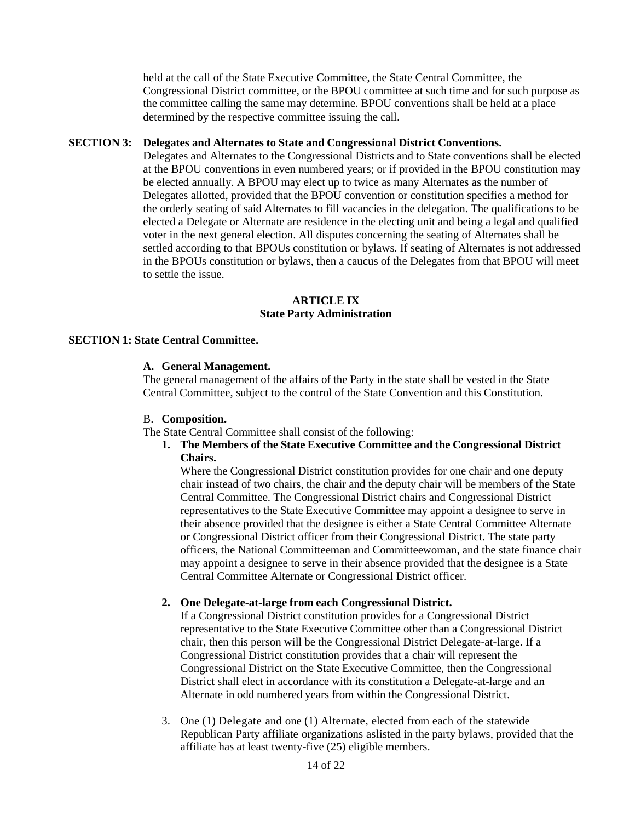held at the call of the State Executive Committee, the State Central Committee, the Congressional District committee, or the BPOU committee at such time and for such purpose as the committee calling the same may determine. BPOU conventions shall be held at a place determined by the respective committee issuing the call.

## **SECTION 3: Delegates and Alternates to State and Congressional District Conventions.**

Delegates and Alternates to the Congressional Districts and to State conventions shall be elected at the BPOU conventions in even numbered years; or if provided in the BPOU constitution may be elected annually. A BPOU may elect up to twice as many Alternates as the number of Delegates allotted, provided that the BPOU convention or constitution specifies a method for the orderly seating of said Alternates to fill vacancies in the delegation. The qualifications to be elected a Delegate or Alternate are residence in the electing unit and being a legal and qualified voter in the next general election. All disputes concerning the seating of Alternates shall be settled according to that BPOUs constitution or bylaws. If seating of Alternates is not addressed in the BPOUs constitution or bylaws, then a caucus of the Delegates from that BPOU will meet to settle the issue.

#### **ARTICLE IX State Party Administration**

## **SECTION 1: State Central Committee.**

#### **A. General Management.**

The general management of the affairs of the Party in the state shall be vested in the State Central Committee, subject to the control of the State Convention and this Constitution.

#### B. **Composition.**

The State Central Committee shall consist of the following:

**1. The Members of the State Executive Committee and the Congressional District Chairs.** 

Where the Congressional District constitution provides for one chair and one deputy chair instead of two chairs, the chair and the deputy chair will be members of the State Central Committee. The Congressional District chairs and Congressional District representatives to the State Executive Committee may appoint a designee to serve in their absence provided that the designee is either a State Central Committee Alternate or Congressional District officer from their Congressional District. The state party officers, the National Committeeman and Committeewoman, and the state finance chair may appoint a designee to serve in their absence provided that the designee is a State Central Committee Alternate or Congressional District officer.

## **2. One Delegate-at-large from each Congressional District.**

If a Congressional District constitution provides for a Congressional District representative to the State Executive Committee other than a Congressional District chair, then this person will be the Congressional District Delegate-at-large. If a Congressional District constitution provides that a chair will represent the Congressional District on the State Executive Committee, then the Congressional District shall elect in accordance with its constitution a Delegate-at-large and an Alternate in odd numbered years from within the Congressional District.

3. One (1) Delegate and one (1) Alternate, elected from each of the statewide Republican Party affiliate organizations aslisted in the party bylaws, provided that the affiliate has at least twenty-five (25) eligible members.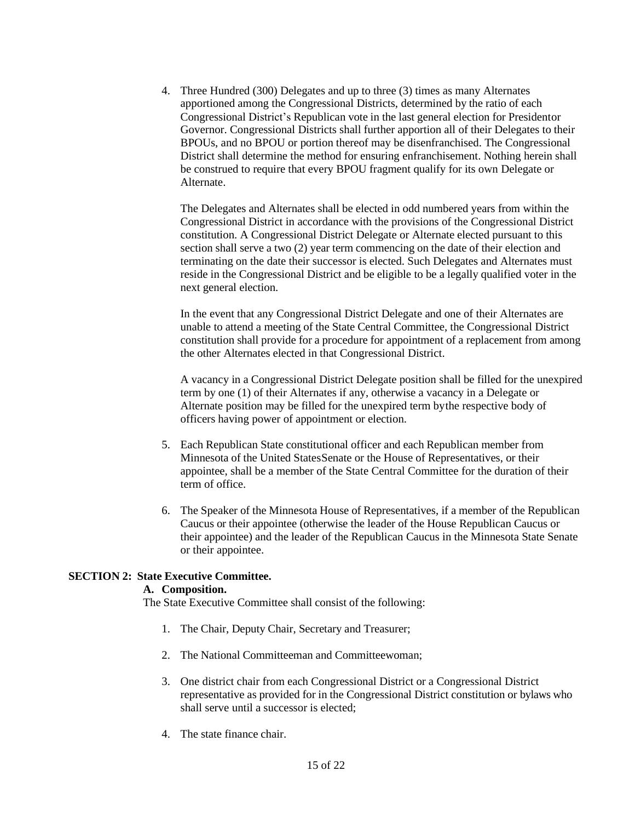4. Three Hundred (300) Delegates and up to three (3) times as many Alternates apportioned among the Congressional Districts, determined by the ratio of each Congressional District's Republican vote in the last general election for Presidentor Governor. Congressional Districts shall further apportion all of their Delegates to their BPOUs, and no BPOU or portion thereof may be disenfranchised. The Congressional District shall determine the method for ensuring enfranchisement. Nothing herein shall be construed to require that every BPOU fragment qualify for its own Delegate or Alternate.

The Delegates and Alternates shall be elected in odd numbered years from within the Congressional District in accordance with the provisions of the Congressional District constitution. A Congressional District Delegate or Alternate elected pursuant to this section shall serve a two (2) year term commencing on the date of their election and terminating on the date their successor is elected. Such Delegates and Alternates must reside in the Congressional District and be eligible to be a legally qualified voter in the next general election.

In the event that any Congressional District Delegate and one of their Alternates are unable to attend a meeting of the State Central Committee, the Congressional District constitution shall provide for a procedure for appointment of a replacement from among the other Alternates elected in that Congressional District.

A vacancy in a Congressional District Delegate position shall be filled for the unexpired term by one (1) of their Alternates if any, otherwise a vacancy in a Delegate or Alternate position may be filled for the unexpired term bythe respective body of officers having power of appointment or election.

- 5. Each Republican State constitutional officer and each Republican member from Minnesota of the United StatesSenate or the House of Representatives, or their appointee, shall be a member of the State Central Committee for the duration of their term of office.
- 6. The Speaker of the Minnesota House of Representatives, if a member of the Republican Caucus or their appointee (otherwise the leader of the House Republican Caucus or their appointee) and the leader of the Republican Caucus in the Minnesota State Senate or their appointee.

## **SECTION 2: State Executive Committee.**

## **A. Composition.**

The State Executive Committee shall consist of the following:

- 1. The Chair, Deputy Chair, Secretary and Treasurer;
- 2. The National Committeeman and Committeewoman;
- 3. One district chair from each Congressional District or a Congressional District representative as provided for in the Congressional District constitution or bylaws who shall serve until a successor is elected;
- 4. The state finance chair.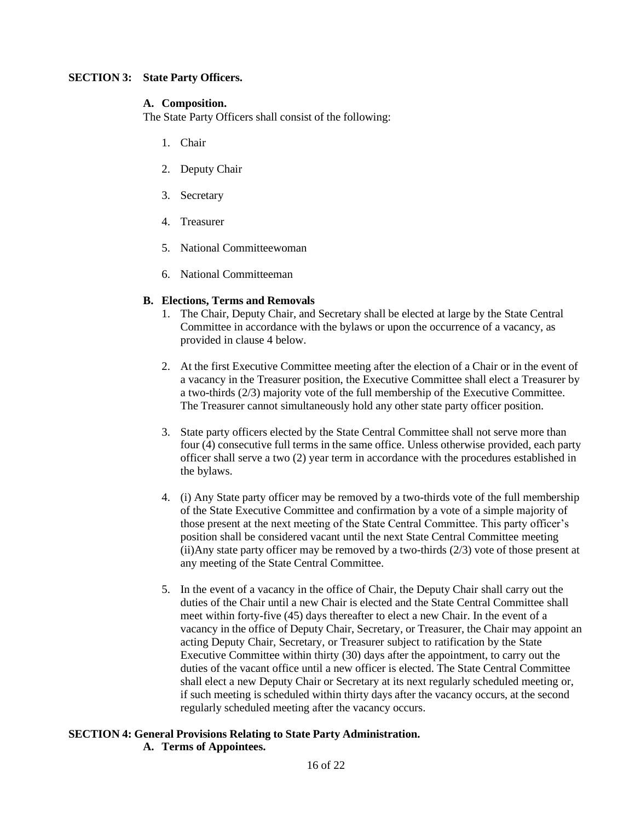## **SECTION 3: State Party Officers.**

## **A. Composition.**

The State Party Officers shall consist of the following:

- 1. Chair
- 2. Deputy Chair
- 3. Secretary
- 4. Treasurer
- 5. National Committeewoman
- 6. National Committeeman

## **B. Elections, Terms and Removals**

- 1. The Chair, Deputy Chair, and Secretary shall be elected at large by the State Central Committee in accordance with the bylaws or upon the occurrence of a vacancy, as provided in clause 4 below.
- 2. At the first Executive Committee meeting after the election of a Chair or in the event of a vacancy in the Treasurer position, the Executive Committee shall elect a Treasurer by a two-thirds (2/3) majority vote of the full membership of the Executive Committee. The Treasurer cannot simultaneously hold any other state party officer position.
- 3. State party officers elected by the State Central Committee shall not serve more than four (4) consecutive full terms in the same office. Unless otherwise provided, each party officer shall serve a two (2) year term in accordance with the procedures established in the bylaws.
- 4. (i) Any State party officer may be removed by a two-thirds vote of the full membership of the State Executive Committee and confirmation by a vote of a simple majority of those present at the next meeting of the State Central Committee. This party officer's position shall be considered vacant until the next State Central Committee meeting (ii)Any state party officer may be removed by a two-thirds  $(2/3)$  vote of those present at any meeting of the State Central Committee.
- 5. In the event of a vacancy in the office of Chair, the Deputy Chair shall carry out the duties of the Chair until a new Chair is elected and the State Central Committee shall meet within forty-five (45) days thereafter to elect a new Chair. In the event of a vacancy in the office of Deputy Chair, Secretary, or Treasurer, the Chair may appoint an acting Deputy Chair, Secretary, or Treasurer subject to ratification by the State Executive Committee within thirty (30) days after the appointment, to carry out the duties of the vacant office until a new officer is elected. The State Central Committee shall elect a new Deputy Chair or Secretary at its next regularly scheduled meeting or, if such meeting is scheduled within thirty days after the vacancy occurs, at the second regularly scheduled meeting after the vacancy occurs.

## **SECTION 4: General Provisions Relating to State Party Administration. A. Terms of Appointees.**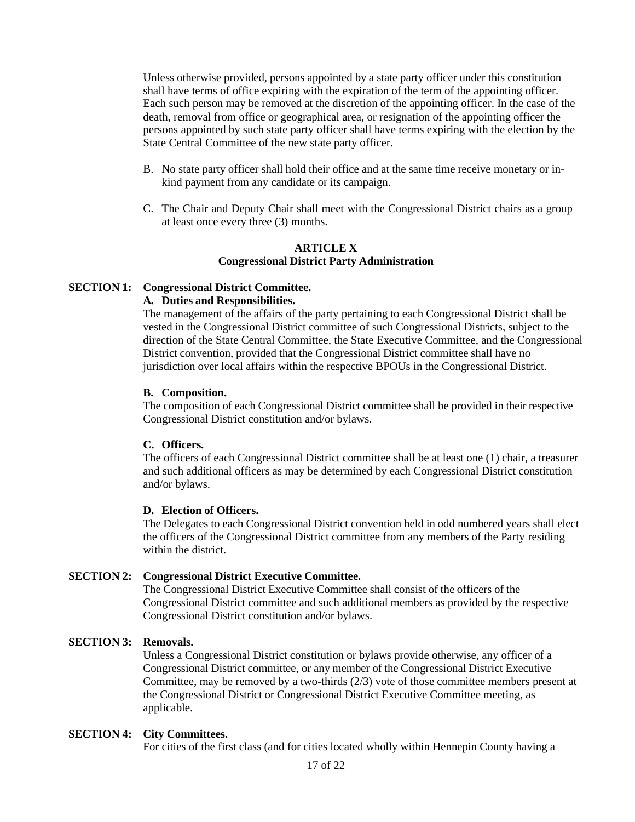Unless otherwise provided, persons appointed by a state party officer under this constitution shall have terms of office expiring with the expiration of the term of the appointing officer. Each such person may be removed at the discretion of the appointing officer. In the case of the death, removal from office or geographical area, or resignation of the appointing officer the persons appointed by such state party officer shall have terms expiring with the election by the State Central Committee of the new state party officer.

- B. No state party officer shall hold their office and at the same time receive monetary or inkind payment from any candidate or its campaign.
- C. The Chair and Deputy Chair shall meet with the Congressional District chairs as a group at least once every three (3) months.

#### **ARTICLE X Congressional District Party Administration**

#### **SECTION 1: Congressional District Committee.**

#### **A. Duties and Responsibilities.**

The management of the affairs of the party pertaining to each Congressional District shall be vested in the Congressional District committee of such Congressional Districts, subject to the direction of the State Central Committee, the State Executive Committee, and the Congressional District convention, provided that the Congressional District committee shall have no jurisdiction over local affairs within the respective BPOUs in the Congressional District.

#### **B. Composition.**

The composition of each Congressional District committee shall be provided in their respective Congressional District constitution and/or bylaws.

#### **C. Officers.**

The officers of each Congressional District committee shall be at least one (1) chair, a treasurer and such additional officers as may be determined by each Congressional District constitution and/or bylaws.

#### **D. Election of Officers.**

The Delegates to each Congressional District convention held in odd numbered years shall elect the officers of the Congressional District committee from any members of the Party residing within the district.

#### **SECTION 2: Congressional District Executive Committee.**

The Congressional District Executive Committee shall consist of the officers of the Congressional District committee and such additional members as provided by the respective Congressional District constitution and/or bylaws.

## **SECTION 3: Removals.**

Unless a Congressional District constitution or bylaws provide otherwise, any officer of a Congressional District committee, or any member of the Congressional District Executive Committee, may be removed by a two-thirds (2/3) vote of those committee members present at the Congressional District or Congressional District Executive Committee meeting, as applicable.

#### **SECTION 4: City Committees.**

For cities of the first class (and for cities located wholly within Hennepin County having a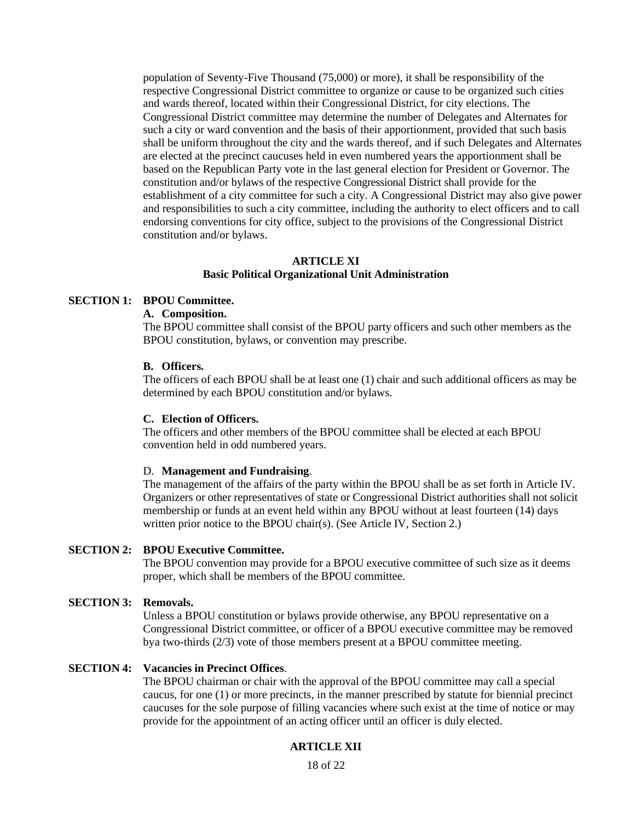population of Seventy-Five Thousand (75,000) or more), it shall be responsibility of the respective Congressional District committee to organize or cause to be organized such cities and wards thereof, located within their Congressional District, for city elections. The Congressional District committee may determine the number of Delegates and Alternates for such a city or ward convention and the basis of their apportionment, provided that such basis shall be uniform throughout the city and the wards thereof, and if such Delegates and Alternates are elected at the precinct caucuses held in even numbered years the apportionment shall be based on the Republican Party vote in the last general election for President or Governor. The constitution and/or bylaws of the respective Congressional District shall provide for the establishment of a city committee for such a city. A Congressional District may also give power and responsibilities to such a city committee, including the authority to elect officers and to call endorsing conventions for city office, subject to the provisions of the Congressional District constitution and/or bylaws.

#### **ARTICLE XI Basic Political Organizational Unit Administration**

#### **SECTION 1: BPOU Committee.**

## **A. Composition.**

The BPOU committee shall consist of the BPOU party officers and such other members as the BPOU constitution, bylaws, or convention may prescribe.

#### **B. Officers.**

The officers of each BPOU shall be at least one (1) chair and such additional officers as may be determined by each BPOU constitution and/or bylaws.

#### **C. Election of Officers.**

The officers and other members of the BPOU committee shall be elected at each BPOU convention held in odd numbered years.

#### D. **Management and Fundraising**.

The management of the affairs of the party within the BPOU shall be as set forth in Article IV. Organizers or other representatives of state or Congressional District authorities shall not solicit membership or funds at an event held within any BPOU without at least fourteen (14) days written prior notice to the BPOU chair(s). (See Article IV, Section 2.)

#### **SECTION 2: BPOU Executive Committee.**

The BPOU convention may provide for a BPOU executive committee of such size as it deems proper, which shall be members of the BPOU committee.

#### **SECTION 3: Removals.**

Unless a BPOU constitution or bylaws provide otherwise, any BPOU representative on a Congressional District committee, or officer of a BPOU executive committee may be removed bya two-thirds (2/3) vote of those members present at a BPOU committee meeting.

#### **SECTION 4: Vacancies in Precinct Offices**.

The BPOU chairman or chair with the approval of the BPOU committee may call a special caucus, for one (1) or more precincts, in the manner prescribed by statute for biennial precinct caucuses for the sole purpose of filling vacancies where such exist at the time of notice or may provide for the appointment of an acting officer until an officer is duly elected.

#### **ARTICLE XII**

18 of 22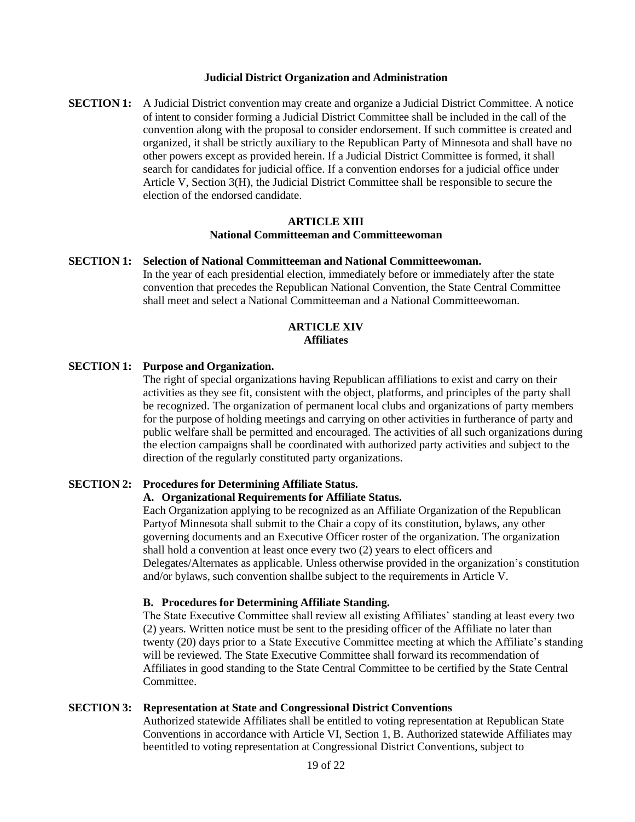#### **Judicial District Organization and Administration**

**SECTION 1:** A Judicial District convention may create and organize a Judicial District Committee. A notice of intent to consider forming a Judicial District Committee shall be included in the call of the convention along with the proposal to consider endorsement. If such committee is created and organized, it shall be strictly auxiliary to the Republican Party of Minnesota and shall have no other powers except as provided herein. If a Judicial District Committee is formed, it shall search for candidates for judicial office. If a convention endorses for a judicial office under Article V, Section 3(H), the Judicial District Committee shall be responsible to secure the election of the endorsed candidate.

## **ARTICLE XIII National Committeeman and Committeewoman**

#### **SECTION 1: Selection of National Committeeman and National Committeewoman.**

In the year of each presidential election, immediately before or immediately after the state convention that precedes the Republican National Convention, the State Central Committee shall meet and select a National Committeeman and a National Committeewoman.

#### **ARTICLE XIV Affiliates**

#### **SECTION 1: Purpose and Organization.**

The right of special organizations having Republican affiliations to exist and carry on their activities as they see fit, consistent with the object, platforms, and principles of the party shall be recognized. The organization of permanent local clubs and organizations of party members for the purpose of holding meetings and carrying on other activities in furtherance of party and public welfare shall be permitted and encouraged. The activities of all such organizations during the election campaigns shall be coordinated with authorized party activities and subject to the direction of the regularly constituted party organizations.

#### **SECTION 2: Procedures for Determining Affiliate Status.**

#### **A. Organizational Requirements for Affiliate Status.**

Each Organization applying to be recognized as an Affiliate Organization of the Republican Partyof Minnesota shall submit to the Chair a copy of its constitution, bylaws, any other governing documents and an Executive Officer roster of the organization. The organization shall hold a convention at least once every two (2) years to elect officers and Delegates/Alternates as applicable. Unless otherwise provided in the organization's constitution and/or bylaws, such convention shallbe subject to the requirements in Article V.

#### **B. Procedures for Determining Affiliate Standing.**

The State Executive Committee shall review all existing Affiliates' standing at least every two (2) years. Written notice must be sent to the presiding officer of the Affiliate no later than twenty (20) days prior to a State Executive Committee meeting at which the Affiliate's standing will be reviewed. The State Executive Committee shall forward its recommendation of Affiliates in good standing to the State Central Committee to be certified by the State Central Committee.

#### **SECTION 3: Representation at State and Congressional District Conventions**

Authorized statewide Affiliates shall be entitled to voting representation at Republican State Conventions in accordance with Article VI, Section 1, B. Authorized statewide Affiliates may beentitled to voting representation at Congressional District Conventions, subject to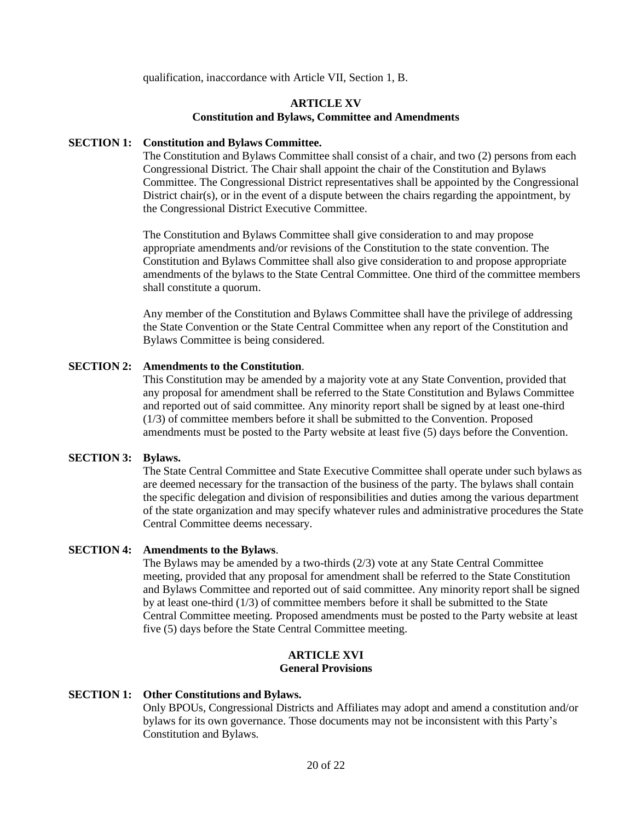qualification, inaccordance with Article VII, Section 1, B.

## **ARTICLE XV Constitution and Bylaws, Committee and Amendments**

#### **SECTION 1: Constitution and Bylaws Committee.**

The Constitution and Bylaws Committee shall consist of a chair, and two (2) persons from each Congressional District. The Chair shall appoint the chair of the Constitution and Bylaws Committee. The Congressional District representatives shall be appointed by the Congressional District chair(s), or in the event of a dispute between the chairs regarding the appointment, by the Congressional District Executive Committee.

The Constitution and Bylaws Committee shall give consideration to and may propose appropriate amendments and/or revisions of the Constitution to the state convention. The Constitution and Bylaws Committee shall also give consideration to and propose appropriate amendments of the bylaws to the State Central Committee. One third of the committee members shall constitute a quorum.

Any member of the Constitution and Bylaws Committee shall have the privilege of addressing the State Convention or the State Central Committee when any report of the Constitution and Bylaws Committee is being considered.

#### **SECTION 2: Amendments to the Constitution**.

This Constitution may be amended by a majority vote at any State Convention, provided that any proposal for amendment shall be referred to the State Constitution and Bylaws Committee and reported out of said committee. Any minority report shall be signed by at least one-third (1/3) of committee members before it shall be submitted to the Convention. Proposed amendments must be posted to the Party website at least five (5) days before the Convention.

#### **SECTION 3: Bylaws.**

The State Central Committee and State Executive Committee shall operate under such bylaws as are deemed necessary for the transaction of the business of the party. The bylaws shall contain the specific delegation and division of responsibilities and duties among the various department of the state organization and may specify whatever rules and administrative procedures the State Central Committee deems necessary.

#### **SECTION 4: Amendments to the Bylaws**.

The Bylaws may be amended by a two-thirds (2/3) vote at any State Central Committee meeting, provided that any proposal for amendment shall be referred to the State Constitution and Bylaws Committee and reported out of said committee. Any minority report shall be signed by at least one-third (1/3) of committee members before it shall be submitted to the State Central Committee meeting. Proposed amendments must be posted to the Party website at least five (5) days before the State Central Committee meeting.

#### **ARTICLE XVI General Provisions**

#### **SECTION 1: Other Constitutions and Bylaws.**

Only BPOUs, Congressional Districts and Affiliates may adopt and amend a constitution and/or bylaws for its own governance. Those documents may not be inconsistent with this Party's Constitution and Bylaws.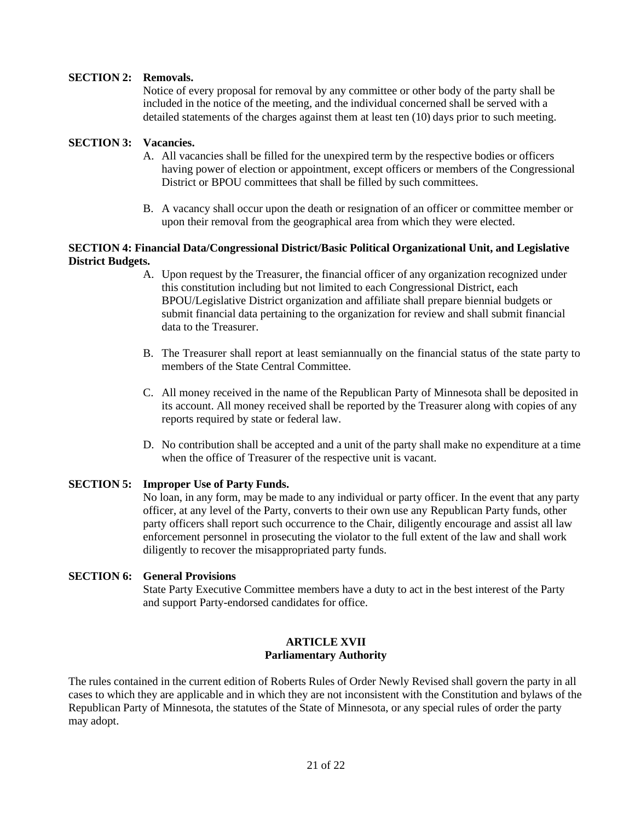## **SECTION 2: Removals.**

Notice of every proposal for removal by any committee or other body of the party shall be included in the notice of the meeting, and the individual concerned shall be served with a detailed statements of the charges against them at least ten (10) days prior to such meeting.

## **SECTION 3: Vacancies.**

- A. All vacancies shall be filled for the unexpired term by the respective bodies or officers having power of election or appointment, except officers or members of the Congressional District or BPOU committees that shall be filled by such committees.
- B. A vacancy shall occur upon the death or resignation of an officer or committee member or upon their removal from the geographical area from which they were elected.

## **SECTION 4: Financial Data/Congressional District/Basic Political Organizational Unit, and Legislative District Budgets.**

- A. Upon request by the Treasurer, the financial officer of any organization recognized under this constitution including but not limited to each Congressional District, each BPOU/Legislative District organization and affiliate shall prepare biennial budgets or submit financial data pertaining to the organization for review and shall submit financial data to the Treasurer.
- B. The Treasurer shall report at least semiannually on the financial status of the state party to members of the State Central Committee.
- C. All money received in the name of the Republican Party of Minnesota shall be deposited in its account. All money received shall be reported by the Treasurer along with copies of any reports required by state or federal law.
- D. No contribution shall be accepted and a unit of the party shall make no expenditure at a time when the office of Treasurer of the respective unit is vacant.

## **SECTION 5: Improper Use of Party Funds.**

No loan, in any form, may be made to any individual or party officer. In the event that any party officer, at any level of the Party, converts to their own use any Republican Party funds, other party officers shall report such occurrence to the Chair, diligently encourage and assist all law enforcement personnel in prosecuting the violator to the full extent of the law and shall work diligently to recover the misappropriated party funds.

## **SECTION 6: General Provisions**

State Party Executive Committee members have a duty to act in the best interest of the Party and support Party-endorsed candidates for office.

#### **ARTICLE XVII Parliamentary Authority**

The rules contained in the current edition of Roberts Rules of Order Newly Revised shall govern the party in all cases to which they are applicable and in which they are not inconsistent with the Constitution and bylaws of the Republican Party of Minnesota, the statutes of the State of Minnesota, or any special rules of order the party may adopt.